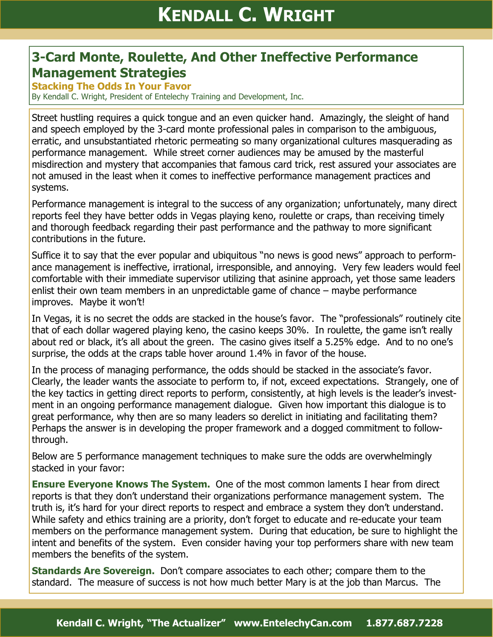## **3-Card Monte, Roulette, And Other Ineffective Performance Management Strategies**

**Stacking The Odds In Your Favor** 

By Kendall C. Wright, President of Entelechy Training and Development, Inc.

Street hustling requires a quick tongue and an even quicker hand. Amazingly, the sleight of hand and speech employed by the 3-card monte professional pales in comparison to the ambiguous, erratic, and unsubstantiated rhetoric permeating so many organizational cultures masquerading as performance management. While street corner audiences may be amused by the masterful misdirection and mystery that accompanies that famous card trick, rest assured your associates are not amused in the least when it comes to ineffective performance management practices and systems.

Performance management is integral to the success of any organization; unfortunately, many direct reports feel they have better odds in Vegas playing keno, roulette or craps, than receiving timely and thorough feedback regarding their past performance and the pathway to more significant contributions in the future.

Suffice it to say that the ever popular and ubiquitous "no news is good news" approach to performance management is ineffective, irrational, irresponsible, and annoying. Very few leaders would feel comfortable with their immediate supervisor utilizing that asinine approach, yet those same leaders enlist their own team members in an unpredictable game of chance – maybe performance improves. Maybe it won't!

In Vegas, it is no secret the odds are stacked in the house's favor. The "professionals" routinely cite that of each dollar wagered playing keno, the casino keeps 30%. In roulette, the game isn't really about red or black, it's all about the green. The casino gives itself a 5.25% edge. And to no one's surprise, the odds at the craps table hover around 1.4% in favor of the house.

In the process of managing performance, the odds should be stacked in the associate's favor. Clearly, the leader wants the associate to perform to, if not, exceed expectations. Strangely, one of the key tactics in getting direct reports to perform, consistently, at high levels is the leader's investment in an ongoing performance management dialogue. Given how important this dialogue is to great performance, why then are so many leaders so derelict in initiating and facilitating them? Perhaps the answer is in developing the proper framework and a dogged commitment to followthrough.

Below are 5 performance management techniques to make sure the odds are overwhelmingly stacked in your favor:

**Ensure Everyone Knows The System.** One of the most common laments I hear from direct reports is that they don't understand their organizations performance management system. The truth is, it's hard for your direct reports to respect and embrace a system they don't understand. While safety and ethics training are a priority, don't forget to educate and re-educate your team members on the performance management system. During that education, be sure to highlight the intent and benefits of the system. Even consider having your top performers share with new team members the benefits of the system.

**Standards Are Sovereign.** Don't compare associates to each other; compare them to the standard. The measure of success is not how much better Mary is at the job than Marcus. The